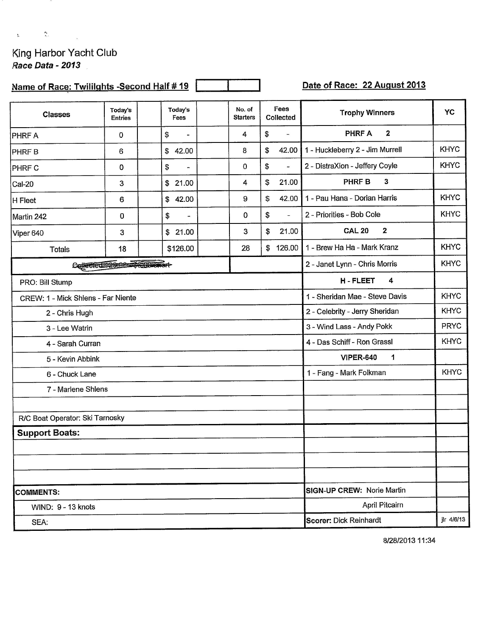King Harbor Yacht Club<br>Race Data - 2013

 $\label{eq:2.1} \begin{array}{llll} \Delta_{\rm{max}} & \Delta_{\rm{max}} & \Delta_{\rm{max}} \\ \Delta_{\rm{max}} & \Delta_{\rm{max}} & \Delta_{\rm{max}} \end{array}$ 

## Name of Race: Twillights -Second Half # 19

Date of Race: 22 August 2013

| <b>Classes</b>                     | Today's<br><b>Entries</b> |                                              | Today's<br>Fees                |  | No. of<br><b>Starters</b> |    | Fees<br>Collected        | <b>Trophy Winners</b>           | YC          |
|------------------------------------|---------------------------|----------------------------------------------|--------------------------------|--|---------------------------|----|--------------------------|---------------------------------|-------------|
| PHRF A                             | $\mathbf 0$               |                                              | \$<br>$\overline{\phantom{a}}$ |  | 4                         | \$ | $\overline{\phantom{a}}$ | <b>PHRF A</b><br>$\overline{2}$ |             |
| PHRF B                             | 6                         |                                              | 42.00<br>\$                    |  | 8                         | \$ | 42.00                    | 1 - Huckleberry 2 - Jim Murrell | <b>KHYC</b> |
| PHRF C                             | $\mathbf 0$               |                                              | \$<br>$\blacksquare$           |  | 0                         | \$ | $\omega$                 | 2 - DistraXion - Jeffery Coyle  | <b>KHYC</b> |
| Cal-20                             | 3                         |                                              | \$21.00                        |  | 4                         | \$ | 21.00                    | <b>PHRFB</b><br>3               |             |
| H Fleet                            | 6                         |                                              | \$42.00                        |  | 9                         | \$ | 42.00                    | 1 - Pau Hana - Dorian Harris    | <b>KHYC</b> |
| Martin 242                         | 0                         |                                              | \$<br>-                        |  | 0                         | \$ | $\blacksquare$           | 2 - Priorities - Bob Cole       | <b>KHYC</b> |
| Viper 640                          | 3                         |                                              | \$21.00                        |  | 3                         | \$ | 21.00                    | <b>CAL 20</b><br>$\mathbf{2}$   |             |
| <b>Totals</b>                      | 18                        |                                              | \$126.00                       |  | 28                        | \$ | 126.00                   | 1 - Brew Ha Ha - Mark Kranz     | <b>KHYC</b> |
| Collected 2000 - Se Duenort-       |                           |                                              |                                |  |                           |    |                          | 2 - Janet Lynn - Chris Morris   | <b>KHYC</b> |
| PRO: Bill Stump                    |                           |                                              |                                |  |                           |    |                          | <b>H-FLEET</b><br>4             |             |
| CREW: 1 - Mick Shlens - Far Niente |                           | 1 - Sheridan Mae - Steve Davis               | <b>KHYC</b>                    |  |                           |    |                          |                                 |             |
| 2 - Chris Hugh                     |                           | 2 - Celebrity - Jerry Sheridan               | <b>KHYC</b>                    |  |                           |    |                          |                                 |             |
| 3 - Lee Watrin                     |                           | 3 - Wind Lass - Andy Pokk                    | <b>PRYC</b>                    |  |                           |    |                          |                                 |             |
| 4 - Sarah Curran                   |                           | 4 - Das Schiff - Ron Grassl                  | <b>KHYC</b>                    |  |                           |    |                          |                                 |             |
| 5 - Kevin Abbink                   |                           |                                              |                                |  |                           |    |                          | <b>VIPER-640</b><br>1           |             |
| 6 - Chuck Lane                     |                           |                                              |                                |  |                           |    |                          | 1 - Fang - Mark Folkman         | <b>KHYC</b> |
| 7 - Marlene Shlens                 |                           |                                              |                                |  |                           |    |                          |                                 |             |
|                                    |                           |                                              |                                |  |                           |    |                          |                                 |             |
| R/C Boat Operator: Ski Tarnosky    |                           |                                              |                                |  |                           |    |                          |                                 |             |
| <b>Support Boats:</b>              |                           |                                              |                                |  |                           |    |                          |                                 |             |
|                                    |                           |                                              |                                |  |                           |    |                          |                                 |             |
|                                    |                           |                                              |                                |  |                           |    |                          |                                 |             |
|                                    |                           |                                              |                                |  |                           |    |                          |                                 |             |
| <b>COMMENTS:</b>                   |                           | SIGN-UP CREW: Norie Martin<br>April Pitcairn |                                |  |                           |    |                          |                                 |             |
| WIND: 9 - 13 knots                 |                           |                                              |                                |  |                           |    |                          |                                 |             |
| SEA:                               |                           | jlr 4/6/13<br>Scorer: Dick Reinhardt         |                                |  |                           |    |                          |                                 |             |

8/28/2013 11:34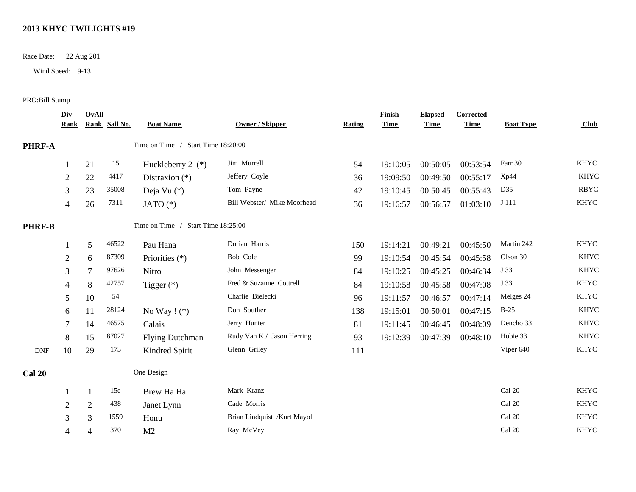## **2013 KHYC TWILIGHTS #19**

Race Date: 22 Aug 201

Wind Speed: 9-13

## PRO:Bill Stump

|                             | Div<br><b>Rank</b> | <b>OvAll</b>   | Rank Sail No. | <b>Boat Name</b>                   | <b>Owner / Skipper</b>      | <b>Rating</b> | Finish<br><b>Time</b> | <b>Elapsed</b><br><b>Time</b> | Corrected<br><b>Time</b> | <b>Boat Type</b> | Club        |
|-----------------------------|--------------------|----------------|---------------|------------------------------------|-----------------------------|---------------|-----------------------|-------------------------------|--------------------------|------------------|-------------|
| PHRF-A                      |                    |                |               | Time on Time / Start Time 18:20:00 |                             |               |                       |                               |                          |                  |             |
|                             |                    | 21             | 15            | Huckleberry 2 $(*)$                | Jim Murrell                 | 54            | 19:10:05              | 00:50:05                      | 00:53:54                 | Farr 30          | <b>KHYC</b> |
|                             | $\overline{c}$     | 22             | 4417          | Distraxion $(*)$                   | Jeffery Coyle               | 36            | 19:09:50              | 00:49:50                      | 00:55:17                 | Xp44             | <b>KHYC</b> |
|                             | 3                  | 23             | 35008         | Deja Vu (*)                        | Tom Payne                   | 42            | 19:10:45              | 00:50:45                      | 00:55:43                 | D35              | <b>RBYC</b> |
|                             | 4                  | 26             | 7311          | JATO $(*)$                         | Bill Webster/ Mike Moorhead | 36            | 19:16:57              | 00:56:57                      | 01:03:10                 | J 111            | <b>KHYC</b> |
| <b>PHRF-B</b>               |                    |                |               | Time on Time / Start Time 18:25:00 |                             |               |                       |                               |                          |                  |             |
|                             |                    | 5              | 46522         | Pau Hana                           | Dorian Harris               | 150           | 19:14:21              | 00:49:21                      | 00:45:50                 | Martin 242       | <b>KHYC</b> |
|                             | $\overline{c}$     | 6              | 87309         | Priorities (*)                     | Bob Cole                    | 99            | 19:10:54              | 00:45:54                      | 00:45:58                 | Olson 30         | <b>KHYC</b> |
|                             | 3                  | $\overline{7}$ | 97626         | Nitro                              | John Messenger              | 84            | 19:10:25              | 00:45:25                      | 00:46:34                 | J 33             | <b>KHYC</b> |
|                             | 4                  | 8              | 42757         | Tigger $(*)$                       | Fred & Suzanne Cottrell     | 84            | 19:10:58              | 00:45:58                      | 00:47:08                 | J 33             | <b>KHYC</b> |
|                             | 5                  | 10             | 54            |                                    | Charlie Bielecki            | 96            | 19:11:57              | 00:46:57                      | 00:47:14                 | Melges 24        | <b>KHYC</b> |
|                             | 6                  | 11             | 28124         | No Way $! (*)$                     | Don Souther                 | 138           | 19:15:01              | 00:50:01                      | 00:47:15                 | $B-25$           | <b>KHYC</b> |
|                             |                    | 14             | 46575         | Calais                             | Jerry Hunter                | 81            | 19:11:45              | 00:46:45                      | 00:48:09                 | Dencho 33        | <b>KHYC</b> |
|                             | 8                  | 15             | 87027         | <b>Flying Dutchman</b>             | Rudy Van K./ Jason Herring  | 93            | 19:12:39              | 00:47:39                      | 00:48:10                 | Hobie 33         | <b>KHYC</b> |
| $\ensuremath{\mathsf{DNF}}$ | 10                 | 29             | 173           | Kindred Spirit                     | Glenn Griley                | 111           |                       |                               |                          | Viper 640        | <b>KHYC</b> |
| <b>Cal 20</b>               |                    |                |               | One Design                         |                             |               |                       |                               |                          |                  |             |
|                             |                    | -1             | 15c           | Brew Ha Ha                         | Mark Kranz                  |               |                       |                               |                          | Cal 20           | <b>KHYC</b> |
|                             | $\overline{2}$     | $\overline{2}$ | 438           | Janet Lynn                         | Cade Morris                 |               |                       |                               |                          | Cal 20           | <b>KHYC</b> |
|                             | 3                  | 3              | 1559          | Honu                               | Brian Lindquist /Kurt Mayol |               |                       |                               |                          | Cal 20           | <b>KHYC</b> |
|                             | 4                  | 4              | 370           | M <sub>2</sub>                     | Ray McVey                   |               |                       |                               |                          | Cal 20           | <b>KHYC</b> |